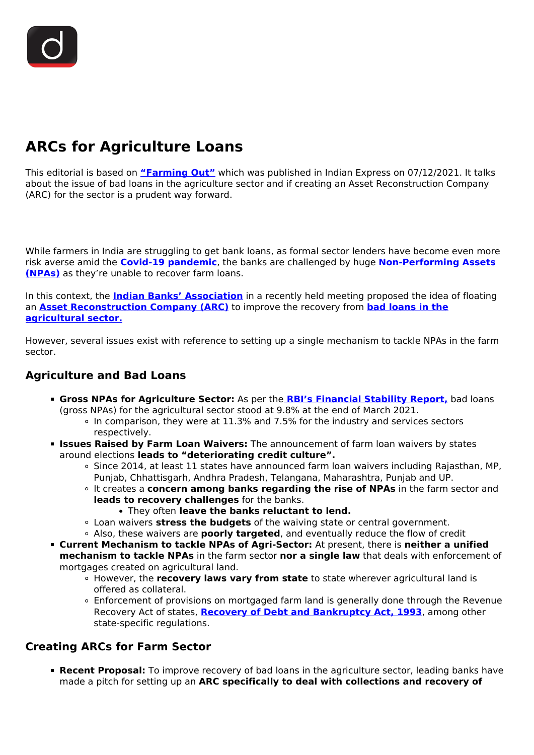# **ARCs for Agriculture Loans**

This editorial is based on **["Farming Out"](https://indianexpress.com/article/opinion/editorials/indian-banks-association-bad-loans-agricultural-sector-7659784/)** which was published in Indian Express on 07/12/2021. It talks about the issue of bad loans in the agriculture sector and if creating an Asset Reconstruction Company (ARC) for the sector is a prudent way forward.

While farmers in India are struggling to get bank loans, as formal sector lenders have become even more risk averse amid the **[Covid-19 pandemic](/loksabha-rajyasabha-discussions/the-big-picture-india-s-covid-pandemic-management)**, the banks are challenged by huge **[Non-Performing Assets](/daily-updates/daily-news-editorials/lessons-from-npa-crisis) [\(NPAs\)](/daily-updates/daily-news-editorials/lessons-from-npa-crisis)** as they're unable to recover farm loans.

In this context, the **[Indian Banks' Association](/daily-updates/daily-news-analysis/annual-meeting-of-iba)** in a recently held meeting proposed the idea of floating an **[Asset Reconstruction Company \(ARC\)](/daily-updates/daily-news-analysis/rbi-committee-on-asset-reconstruction-companies)** to improve the recovery from **[bad loans in the](/daily-updates/daily-news-analysis/arcs-for-agriculture-sector) [agricultural sector.](/daily-updates/daily-news-analysis/arcs-for-agriculture-sector)**

However, several issues exist with reference to setting up a single mechanism to tackle NPAs in the farm sector.

## **Agriculture and Bad Loans**

- **Gross NPAs for Agriculture Sector:** As per the **[RBI's Financial Stability Report,](/daily-updates/daily-news-analysis/financial-stability-report-rbi-3#:~:text=The%20Gross%20Non%2DPerforming%20Asset,2022%20under%20the%20baseline%20scenario.)** bad loans (gross NPAs) for the agricultural sector stood at 9.8% at the end of March 2021.
	- In comparison, they were at 11.3% and 7.5% for the industry and services sectors respectively.
- **Issues Raised by Farm Loan Waivers:** The announcement of farm loan waivers by states around elections **leads to "deteriorating credit culture".**
	- o Since 2014, at least 11 states have announced farm loan waivers including Rajasthan, MP, Punjab, Chhattisgarh, Andhra Pradesh, Telangana, Maharashtra, Punjab and UP.
	- It creates a **concern among banks regarding the rise of NPAs** in the farm sector and **leads to recovery challenges** for the banks.
		- They often **leave the banks reluctant to lend.**
	- Loan waivers **stress the budgets** of the waiving state or central government.
	- Also, these waivers are **poorly targeted**, and eventually reduce the flow of credit
- **Current Mechanism to tackle NPAs of Agri-Sector:** At present, there is **neither a unified mechanism to tackle NPAs** in the farm sector **nor a single law** that deals with enforcement of mortgages created on agricultural land.
	- However, the **recovery laws vary from state** to state wherever agricultural land is offered as collateral.
	- Enforcement of provisions on mortgaged farm land is generally done through the Revenue Recovery Act of states, **[Recovery of Debt and Bankruptcy Act, 1993](/printpdf/in-depth-insolvency-and-bankruptcy-code-act)**, among other state-specific regulations.

# **Creating ARCs for Farm Sector**

**Recent Proposal:** To improve recovery of bad loans in the agriculture sector, leading banks have made a pitch for setting up an **ARC specifically to deal with collections and recovery of**